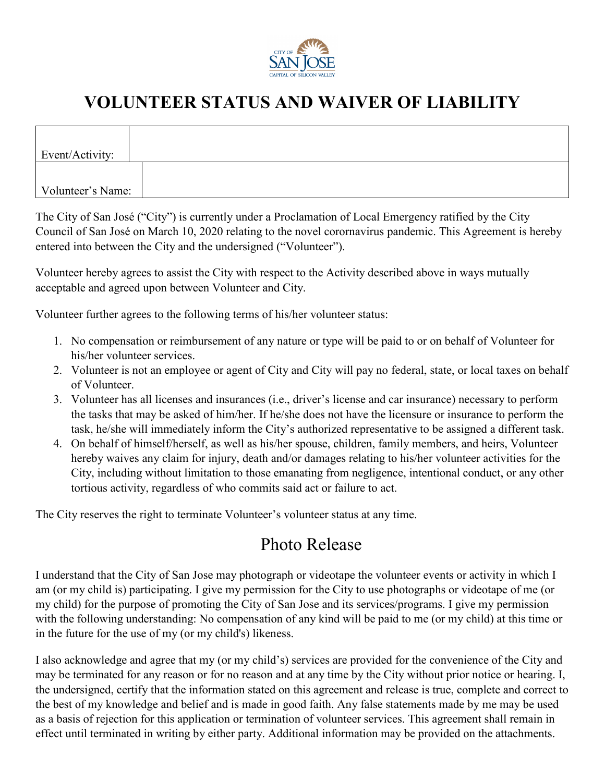

## **VOLUNTEER STATUS AND WAIVER OF LIABILITY**

| Event/Activity:   |  |
|-------------------|--|
|                   |  |
|                   |  |
| Volunteer's Name: |  |

The City of San José ("City") is currently under a Proclamation of Local Emergency ratified by the City Council of San José on March 10, 2020 relating to the novel corornavirus pandemic. This Agreement is hereby entered into between the City and the undersigned ("Volunteer").

Volunteer hereby agrees to assist the City with respect to the Activity described above in ways mutually acceptable and agreed upon between Volunteer and City.

Volunteer further agrees to the following terms of his/her volunteer status:

- 1. No compensation or reimbursement of any nature or type will be paid to or on behalf of Volunteer for his/her volunteer services.
- 2. Volunteer is not an employee or agent of City and City will pay no federal, state, or local taxes on behalf of Volunteer.
- 3. Volunteer has all licenses and insurances (i.e., driver's license and car insurance) necessary to perform the tasks that may be asked of him/her. If he/she does not have the licensure or insurance to perform the task, he/she will immediately inform the City's authorized representative to be assigned a different task.
- 4. On behalf of himself/herself, as well as his/her spouse, children, family members, and heirs, Volunteer hereby waives any claim for injury, death and/or damages relating to his/her volunteer activities for the City, including without limitation to those emanating from negligence, intentional conduct, or any other tortious activity, regardless of who commits said act or failure to act.

The City reserves the right to terminate Volunteer's volunteer status at any time.

## Photo Release

I understand that the City of San Jose may photograph or videotape the volunteer events or activity in which I am (or my child is) participating. I give my permission for the City to use photographs or videotape of me (or my child) for the purpose of promoting the City of San Jose and its services/programs. I give my permission with the following understanding: No compensation of any kind will be paid to me (or my child) at this time or in the future for the use of my (or my child's) likeness.

I also acknowledge and agree that my (or my child's) services are provided for the convenience of the City and may be terminated for any reason or for no reason and at any time by the City without prior notice or hearing. I, the undersigned, certify that the information stated on this agreement and release is true, complete and correct to the best of my knowledge and belief and is made in good faith. Any false statements made by me may be used as a basis of rejection for this application or termination of volunteer services. This agreement shall remain in effect until terminated in writing by either party. Additional information may be provided on the attachments.